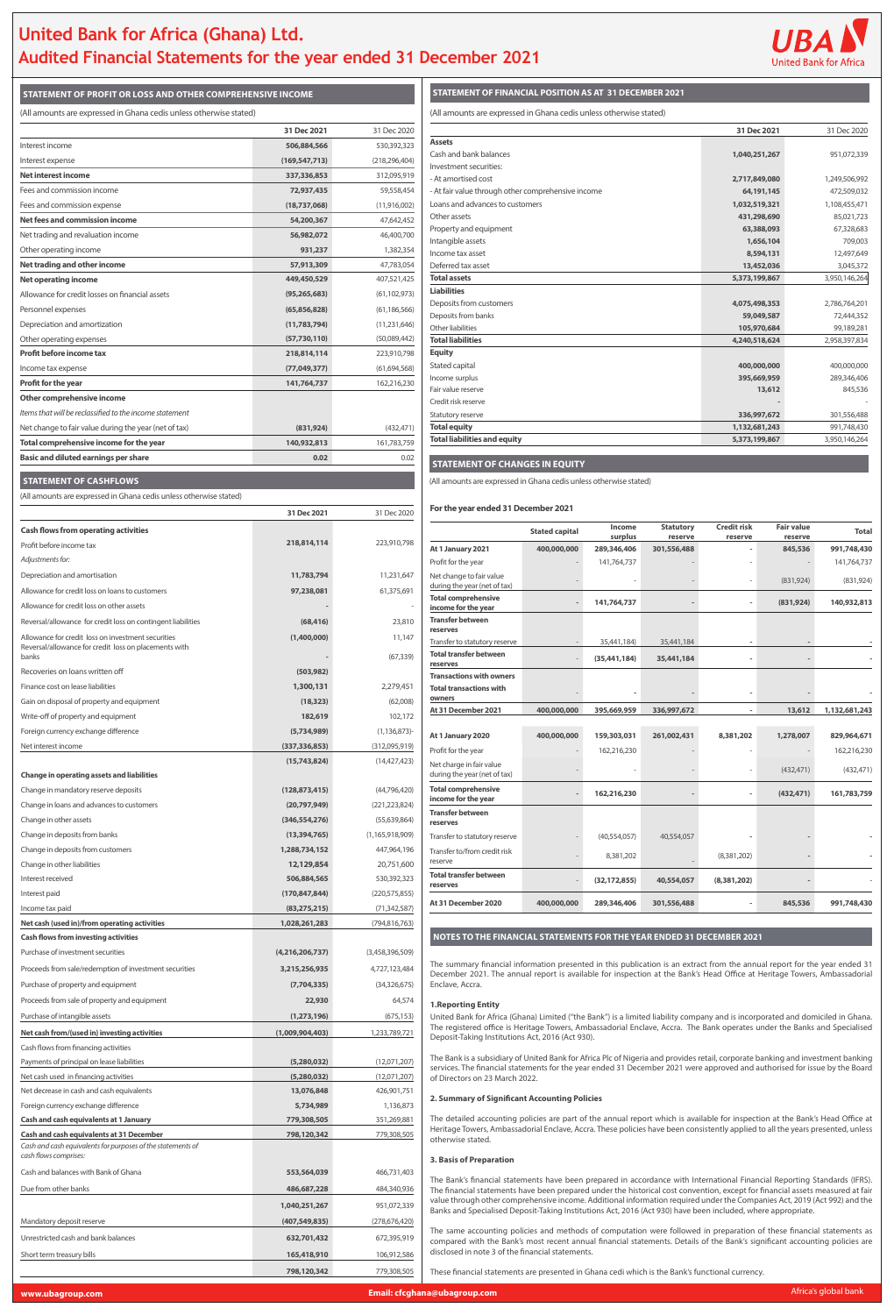## **United Bank for Africa (Ghana) Ltd. Audited Financial Statements for the year ended 31 December 2021**



**STATEMENT OF PROFIT OR LOSS AND OTHER COMPREHENSIVE INCOME STATEMENT OF FINANCIAL POSITION AS AT 31 DECEMBER 2021**

#### **STATEMENT OF CHANGES IN EQUITY**

|                                                    | 31 Dec 2021   | 31 Dec 2020   |
|----------------------------------------------------|---------------|---------------|
| <b>Assets</b>                                      |               |               |
| Cash and bank balances                             | 1,040,251,267 | 951,072,339   |
| Investment securities:                             |               |               |
| - At amortised cost                                | 2,717,849,080 | 1,249,506,992 |
| - At fair value through other comprehensive income | 64,191,145    | 472,509,032   |
| Loans and advances to customers                    | 1,032,519,321 | 1,108,455,471 |
| Other assets                                       | 431,298,690   | 85,021,723    |
| Property and equipment                             | 63,388,093    | 67,328,683    |
| Intangible assets                                  | 1,656,104     | 709,003       |
| Income tax asset                                   | 8,594,131     | 12,497,649    |
| Deferred tax asset                                 | 13,452,036    | 3,045,372     |
| <b>Total assets</b>                                | 5,373,199,867 | 3,950,146,264 |
| <b>Liabilities</b>                                 |               |               |
| Deposits from customers                            | 4,075,498,353 | 2,786,764,201 |
| Deposits from banks                                | 59,049,587    | 72,444,352    |
| Other liabilities                                  | 105,970,684   | 99,189,281    |
| <b>Total liabilities</b>                           | 4,240,518,624 | 2,958,397,834 |
| <b>Equity</b>                                      |               |               |
| Stated capital                                     | 400,000,000   | 400,000,000   |
| Income surplus                                     | 395,669,959   | 289,346,406   |
| Fair value reserve                                 | 13,612        | 845,536       |
| Credit risk reserve                                |               |               |
| Statutory reserve                                  | 336,997,672   | 301,556,488   |
| <b>Total equity</b>                                | 1,132,681,243 | 991,748,430   |
| <b>Total liabilities and equity</b>                | 5,373,199,867 | 3,950,146,264 |

#### **For the year ended 31 December 2021**

|                                                          | <b>Stated capital</b> | Income<br>surplus | <b>Statutory</b><br>reserve | <b>Credit risk</b><br>reserve | <b>Fair value</b><br>reserve | <b>Total</b>  |
|----------------------------------------------------------|-----------------------|-------------------|-----------------------------|-------------------------------|------------------------------|---------------|
| At 1 January 2021                                        | 400,000,000           | 289,346,406       | 301,556,488                 |                               | 845,536                      | 991,748,430   |
| Profit for the year                                      |                       | 141,764,737       |                             |                               |                              | 141,764,737   |
| Net change to fair value<br>during the year (net of tax) |                       |                   |                             |                               | (831, 924)                   | (831, 924)    |
| <b>Total comprehensive</b><br>income for the year        |                       | 141,764,737       |                             | $\overline{\phantom{a}}$      | (831, 924)                   | 140,932,813   |
| <b>Transfer between</b><br>reserves                      |                       |                   |                             |                               |                              |               |
| Transfer to statutory reserve                            |                       | 35,441,184)       | 35,441,184                  |                               |                              |               |
| <b>Total transfer between</b><br>reserves                |                       | (35, 441, 184)    | 35,441,184                  |                               |                              |               |
| <b>Transactions with owners</b>                          |                       |                   |                             |                               |                              |               |
| <b>Total transactions with</b><br>owners                 |                       |                   |                             |                               |                              |               |
| At 31 December 2021                                      | 400,000,000           | 395,669,959       | 336,997,672                 |                               | 13,612                       | 1,132,681,243 |
|                                                          |                       |                   |                             |                               |                              |               |
| At 1 January 2020                                        | 400,000,000           | 159,303,031       | 261,002,431                 | 8,381,202                     | 1,278,007                    | 829,964,671   |
| Profit for the year                                      |                       | 162,216,230       |                             |                               |                              | 162,216,230   |
| Net charge in fair value<br>during the year (net of tax) |                       |                   |                             |                               | (432, 471)                   | (432, 471)    |
| <b>Total comprehensive</b><br>income for the year        |                       | 162,216,230       |                             |                               | (432, 471)                   | 161,783,759   |
| <b>Transfer between</b><br>reserves                      |                       |                   |                             |                               |                              |               |
| Transfer to statutory reserve                            |                       | (40,554,057)      | 40,554,057                  |                               |                              |               |
| Transfer to/from credit risk<br>reserve                  |                       | 8,381,202         |                             | (8,381,202)                   |                              |               |
| <b>Total transfer between</b><br>reserves                |                       | (32, 172, 855)    | 40,554,057                  | (8,381,202)                   |                              |               |
| At 31 December 2020                                      | 400,000,000           | 289,346,406       | 301,556,488                 |                               | 845,536                      | 991,748,430   |

| (All amounts are expressed in Ghana cedis unless otherwise stated)                                                               |                                   |                                 | (All amounts are expressed in Ghana cedis unless otherwise stated)                                                                            |                       |                   |                |
|----------------------------------------------------------------------------------------------------------------------------------|-----------------------------------|---------------------------------|-----------------------------------------------------------------------------------------------------------------------------------------------|-----------------------|-------------------|----------------|
|                                                                                                                                  | 31 Dec 2021                       | 31 Dec 2020                     | <b>Assets</b>                                                                                                                                 |                       |                   |                |
| Interest income                                                                                                                  | 506,884,566                       | 530,392,323                     | Cash and bank balances                                                                                                                        |                       |                   |                |
| Interest expense<br><b>Net interest income</b>                                                                                   | (169, 547, 713)                   | (218, 296, 404)                 | Investment securities:                                                                                                                        |                       |                   |                |
| Fees and commission income                                                                                                       | 337,336,853<br>72,937,435         | 312,095,919<br>59,558,454       | - At amortised cost                                                                                                                           |                       |                   |                |
| Fees and commission expense                                                                                                      | (18,737,068)                      | (11,916,002)                    | - At fair value through other comprehensive income<br>Loans and advances to customers                                                         |                       |                   |                |
| Net fees and commission income                                                                                                   | 54,200,367                        | 47,642,452                      | Other assets                                                                                                                                  |                       |                   |                |
| Net trading and revaluation income                                                                                               | 56,982,072                        | 46,400,700                      | Property and equipment                                                                                                                        |                       |                   |                |
| Other operating income                                                                                                           | 931,237                           | 1,382,354                       | Intangible assets<br>Income tax asset                                                                                                         |                       |                   |                |
| Net trading and other income                                                                                                     | 57,913,309                        | 47,783,054                      | Deferred tax asset                                                                                                                            |                       |                   |                |
| <b>Net operating income</b>                                                                                                      | 449,450,529                       | 407,521,425                     | <b>Total assets</b>                                                                                                                           |                       |                   |                |
| Allowance for credit losses on financial assets                                                                                  | (95, 265, 683)                    | (61, 102, 973)                  | <b>Liabilities</b>                                                                                                                            |                       |                   |                |
| Personnel expenses                                                                                                               | (65,856,828)                      | (61, 186, 566)                  | Deposits from customers<br>Deposits from banks                                                                                                |                       |                   |                |
| Depreciation and amortization                                                                                                    | (11,783,794)                      | (11, 231, 646)                  | Other liabilities                                                                                                                             |                       |                   |                |
| Other operating expenses                                                                                                         | (57, 730, 110)                    | (50,089,442)                    | <b>Total liabilities</b>                                                                                                                      |                       |                   |                |
| <b>Profit before income tax</b>                                                                                                  | 218,814,114                       | 223,910,798                     | <b>Equity</b><br>Stated capital                                                                                                               |                       |                   |                |
| Income tax expense                                                                                                               | (77, 049, 377)                    | (61, 694, 568)                  | Income surplus                                                                                                                                |                       |                   |                |
| <b>Profit for the year</b>                                                                                                       | 141,764,737                       | 162,216,230                     | Fair value reserve                                                                                                                            |                       |                   |                |
| Other comprehensive income                                                                                                       |                                   |                                 | Credit risk reserve                                                                                                                           |                       |                   |                |
| Items that will be reclassified to the income statement<br>Net change to fair value during the year (net of tax)                 |                                   |                                 | Statutory reserve<br><b>Total equity</b>                                                                                                      |                       |                   |                |
| Total comprehensive income for the year                                                                                          | (831, 924)<br>140,932,813         | (432, 471)<br>161,783,759       | <b>Total liabilities and equity</b>                                                                                                           |                       |                   |                |
| <b>Basic and diluted earnings per share</b>                                                                                      | 0.02                              | 0.02                            |                                                                                                                                               |                       |                   |                |
|                                                                                                                                  |                                   |                                 | <b>STATEMENT OF CHANGES IN EQUITY</b>                                                                                                         |                       |                   |                |
| <b>STATEMENT OF CASHFLOWS</b>                                                                                                    |                                   |                                 | (All amounts are expressed in Ghana cedis unless otherwise stated)                                                                            |                       |                   |                |
| (All amounts are expressed in Ghana cedis unless otherwise stated)                                                               |                                   |                                 |                                                                                                                                               |                       |                   |                |
|                                                                                                                                  | 31 Dec 2021                       | 31 Dec 2020                     | For the year ended 31 December 2021                                                                                                           |                       |                   |                |
| <b>Cash flows from operating activities</b>                                                                                      |                                   |                                 |                                                                                                                                               | <b>Stated capital</b> | Income<br>surplus | S <sub>1</sub> |
| Profit before income tax                                                                                                         | 218,814,114                       | 223,910,798                     | At 1 January 2021                                                                                                                             | 400,000,000           | 289,346,406       | 301,           |
| Adjustments for:                                                                                                                 |                                   |                                 | Profit for the year                                                                                                                           |                       | 141,764,737       |                |
| Depreciation and amortisation                                                                                                    | 11,783,794                        | 11,231,647                      | Net change to fair value                                                                                                                      |                       |                   |                |
| Allowance for credit loss on loans to customers                                                                                  | 97,238,081                        | 61,375,691                      | during the year (net of tax)<br><b>Total comprehensive</b>                                                                                    |                       |                   |                |
| Allowance for credit loss on other assets                                                                                        |                                   |                                 | income for the year                                                                                                                           |                       | 141,764,737       |                |
| Reversal/allowance for credit loss on contingent liabilities                                                                     | (68, 416)                         | 23,810                          | <b>Transfer between</b><br>reserves                                                                                                           |                       |                   |                |
| Allowance for credit loss on investment securities                                                                               | (1,400,000)                       | 11,147                          | Transfer to statutory reserve                                                                                                                 |                       | 35,441,184)       | 35             |
| Reversal/allowance for credit loss on placements with<br>banks                                                                   |                                   | (67, 339)                       | <b>Total transfer between</b>                                                                                                                 |                       | (35, 441, 184)    | 35,            |
| Recoveries on loans written off                                                                                                  | (503, 982)                        |                                 | reserves<br><b>Transactions with owners</b>                                                                                                   |                       |                   |                |
| Finance cost on lease liabilities                                                                                                | 1,300,131                         | 2,279,451                       | <b>Total transactions with</b>                                                                                                                |                       |                   |                |
| Gain on disposal of property and equipment                                                                                       | (18, 323)                         | (62,008)                        | owners<br>At 31 December 2021                                                                                                                 | 400,000,000           | 395,669,959       |                |
| Write-off of property and equipment                                                                                              | 182,619                           | 102,172                         |                                                                                                                                               |                       |                   | 336,           |
| Foreign currency exchange difference                                                                                             | (5,734,989)                       | $(1, 136, 873)$ -               | At 1 January 2020                                                                                                                             | 400,000,000           | 159,303,031       | 261,           |
| Net interest income                                                                                                              | (337, 336, 853)                   | (312,095,919)                   | Profit for the year                                                                                                                           |                       | 162,216,230       |                |
|                                                                                                                                  | (15,743,824)                      | (14, 427, 423)                  | Net charge in fair value                                                                                                                      |                       |                   |                |
| <b>Change in operating assets and liabilities</b>                                                                                |                                   |                                 | during the year (net of tax)                                                                                                                  |                       |                   |                |
| Change in mandatory reserve deposits<br>Change in loans and advances to customers                                                | (128, 873, 415)                   | (44,796,420)                    | <b>Total comprehensive</b><br>income for the year                                                                                             |                       | 162,216,230       |                |
| Change in other assets                                                                                                           | (20, 797, 949)<br>(346, 554, 276) | (221, 223, 824)<br>(55,639,864) | <b>Transfer between</b>                                                                                                                       |                       |                   |                |
| Change in deposits from banks                                                                                                    | (13, 394, 765)                    | (1, 165, 918, 909)              | reserves                                                                                                                                      |                       |                   |                |
| Change in deposits from customers                                                                                                | 1,288,734,152                     | 447,964,196                     | Transfer to statutory reserve<br>Transfer to/from credit risk                                                                                 |                       | (40,554,057)      | 40             |
| Change in other liabilities                                                                                                      | 12,129,854                        | 20,751,600                      | reserve                                                                                                                                       |                       | 8,381,202         |                |
| Interest received                                                                                                                | 506,884,565                       | 530,392,323                     | <b>Total transfer between</b>                                                                                                                 |                       | (32, 172, 855)    | 40,            |
| Interest paid                                                                                                                    | (170, 847, 844)                   | (220, 575, 855)                 | reserves                                                                                                                                      |                       |                   |                |
| Income tax paid                                                                                                                  | (83, 275, 215)                    | (71, 342, 587)                  | At 31 December 2020                                                                                                                           | 400,000,000           | 289,346,406       | 301,           |
| Net cash (used in)/from operating activities                                                                                     | 1,028,261,283                     | (794, 816, 763)                 |                                                                                                                                               |                       |                   |                |
| <b>Cash flows from investing activities</b>                                                                                      |                                   |                                 | NOTES TO THE FINANCIAL STATEMENTS FOR THE YEAR ENI                                                                                            |                       |                   |                |
| Purchase of investment securities                                                                                                | (4,216,206,737)                   | (3,458,396,509)                 |                                                                                                                                               |                       |                   |                |
| Proceeds from sale/redemption of investment securities                                                                           | 3,215,256,935                     | 4,727,123,484                   | The summary financial information presented in this publication is<br>December 2021. The annual report is available for inspection at t       |                       |                   |                |
| Purchase of property and equipment                                                                                               | (7,704,335)                       | (34, 326, 675)                  | Enclave, Accra.                                                                                                                               |                       |                   |                |
| Proceeds from sale of property and equipment                                                                                     | 22,930                            | 64,574                          | <b>1. Reporting Entity</b>                                                                                                                    |                       |                   |                |
| Purchase of intangible assets                                                                                                    | (1,273,196)                       | (675, 153)                      | United Bank for Africa (Ghana) Limited ("the Bank") is a limited liabi                                                                        |                       |                   |                |
| Net cash from/(used in) investing activities                                                                                     | (1,009,904,403)                   | 1,233,789,721                   | The registered office is Heritage Towers, Ambassadorial Enclave, A<br>Deposit-Taking Institutions Act, 2016 (Act 930).                        |                       |                   |                |
| Cash flows from financing activities                                                                                             |                                   |                                 |                                                                                                                                               |                       |                   |                |
| Payments of principal on lease liabilities                                                                                       | (5,280,032)                       | (12,071,207)                    | The Bank is a subsidiary of United Bank for Africa Plc of Nigeria and a<br>services. The financial statements for the year ended 31 December. |                       |                   |                |
| Net cash used in financing activities                                                                                            | (5,280,032)                       | (12,071,207)                    | of Directors on 23 March 2022.                                                                                                                |                       |                   |                |
| Net decrease in cash and cash equivalents                                                                                        | 13,076,848                        | 426,901,751                     | 2. Summary of Significant Accounting Policies                                                                                                 |                       |                   |                |
| Foreign currency exchange difference                                                                                             | 5,734,989                         | 1,136,873                       | The detailed accounting policies are part of the annual report whit                                                                           |                       |                   |                |
| <b>Cash and cash equivalents at 1 January</b>                                                                                    | 779,308,505                       | 351,269,881                     | Heritage Towers, Ambassadorial Enclave, Accra. These policies have                                                                            |                       |                   |                |
| Cash and cash equivalents at 31 December<br>Cash and cash equivalents for purposes of the statements of<br>cash flows comprises: | 798,120,342                       | 779,308,505                     | otherwise stated.<br><b>3. Basis of Preparation</b>                                                                                           |                       |                   |                |
| Cash and balances with Bank of Ghana                                                                                             | 553,564,039                       | 466,731,403                     |                                                                                                                                               |                       |                   |                |
| Due from other banks                                                                                                             | 486,687,228                       | 484,340,936                     | The Bank's financial statements have been prepared in accordanc<br>The financial statements have been prepared under the historical c         |                       |                   |                |
|                                                                                                                                  | 1,040,251,267                     | 951,072,339                     | value through other comprehensive income. Additional information<br>Banks and Specialised Deposit-Taking Institutions Act, 2016 (Act 93       |                       |                   |                |
| Mandatory deposit reserve                                                                                                        | (407, 549, 835)                   | (278,676,420)                   |                                                                                                                                               |                       |                   |                |
| Unrestricted cash and bank balances                                                                                              | 632,701,432                       | 672,395,919                     | The same accounting policies and methods of computation were<br>compared with the Bank's most recent annual financial statement               |                       |                   |                |
| Short term treasury bills                                                                                                        | 165,418,910                       | 106,912,586                     | disclosed in note 3 of the financial statements.                                                                                              |                       |                   |                |
|                                                                                                                                  | 798,120,342                       | 779,308,505                     | These financial statements are presented in Ghana cedi which is the                                                                           |                       |                   |                |
|                                                                                                                                  |                                   |                                 |                                                                                                                                               |                       |                   |                |

**NOTES TO THE FINANCIAL STATEMENTS FOR THE YEAR ENDED 31 DECEMBER 2021**

The summary financial information presented in this publication is an extract from the annual report for the year ended 31 December 2021. The annual report is available for inspection at the Bank's Head Office at Heritage Towers, Ambassadorial Enclave, Accra.

#### **1.Reporting Entity**

United Bank for Africa (Ghana) Limited ("the Bank") is a limited liability company and is incorporated and domiciled in Ghana. The registered office is Heritage Towers, Ambassadorial Enclave, Accra. The Bank operates under the Banks and Specialised Deposit-Taking Institutions Act, 2016 (Act 930).

The Bank is a subsidiary of United Bank for Africa Plc of Nigeria and provides retail, corporate banking and investment banking services. The financial statements for the year ended 31 December 2021 were approved and authorised for issue by the Board of Directors on 23 March 2022.

### **2. Summary of Significant Accounting Policies**

The detailed accounting policies are part of the annual report which is available for inspection at the Bank's Head Office at Heritage Towers, Ambassadorial Enclave, Accra. These policies have been consistently applied to all the years presented, unless otherwise stated.

#### **3. Basis of Preparation**

The Bank's financial statements have been prepared in accordance with International Financial Reporting Standards (IFRS). The financial statements have been prepared under the historical cost convention, except for financial assets measured at fair value through other comprehensive income. Additional information required under the Companies Act, 2019 (Act 992) and the Banks and Specialised Deposit-Taking Institutions Act, 2016 (Act 930) have been included, where appropriate.

The same accounting policies and methods of computation were followed in preparation of these financial statements as compared with the Bank's most recent annual financial statements. Details of the Bank's significant accounting policies are disclosed in note 3 of the financial statements.

These financial statements are presented in Ghana cedi which is the Bank's functional currency.